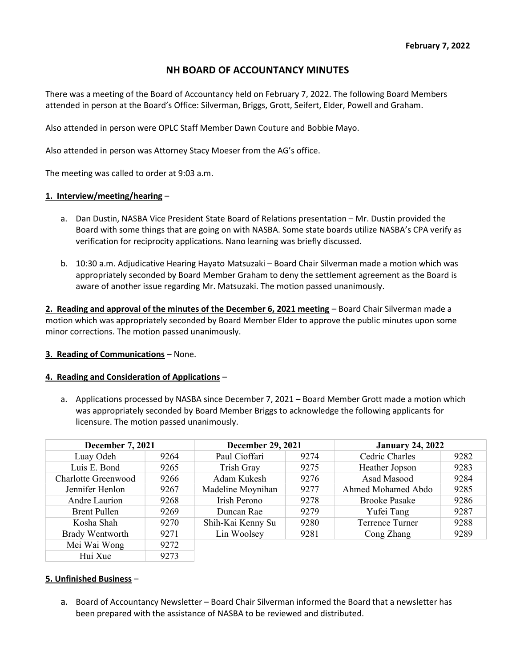# NH BOARD OF ACCOUNTANCY MINUTES

There was a meeting of the Board of Accountancy held on February 7, 2022. The following Board Members attended in person at the Board's Office: Silverman, Briggs, Grott, Seifert, Elder, Powell and Graham.

Also attended in person were OPLC Staff Member Dawn Couture and Bobbie Mayo.

Also attended in person was Attorney Stacy Moeser from the AG's office.

The meeting was called to order at 9:03 a.m.

### 1. Interview/meeting/hearing –

- a. Dan Dustin, NASBA Vice President State Board of Relations presentation Mr. Dustin provided the Board with some things that are going on with NASBA. Some state boards utilize NASBA's CPA verify as verification for reciprocity applications. Nano learning was briefly discussed.
- b. 10:30 a.m. Adjudicative Hearing Hayato Matsuzaki Board Chair Silverman made a motion which was appropriately seconded by Board Member Graham to deny the settlement agreement as the Board is aware of another issue regarding Mr. Matsuzaki. The motion passed unanimously.

2. Reading and approval of the minutes of the December 6, 2021 meeting - Board Chair Silverman made a motion which was appropriately seconded by Board Member Elder to approve the public minutes upon some minor corrections. The motion passed unanimously.

### 3. Reading of Communications – None.

### 4. Reading and Consideration of Applications –

a. Applications processed by NASBA since December 7, 2021 – Board Member Grott made a motion which was appropriately seconded by Board Member Briggs to acknowledge the following applicants for licensure. The motion passed unanimously.

| <b>December 7, 2021</b> |      | <b>December 29, 2021</b> |      | <b>January 24, 2022</b> |      |
|-------------------------|------|--------------------------|------|-------------------------|------|
| Luay Odeh               | 9264 | Paul Cioffari            | 9274 | Cedric Charles          | 9282 |
| Luis E. Bond            | 9265 | Trish Gray               | 9275 | Heather Jopson          | 9283 |
| Charlotte Greenwood     | 9266 | Adam Kukesh              | 9276 | Asad Masood             | 9284 |
| Jennifer Henlon         | 9267 | Madeline Moynihan        | 9277 | Ahmed Mohamed Abdo      | 9285 |
| Andre Laurion           | 9268 | Irish Perono             | 9278 | <b>Brooke Pasake</b>    | 9286 |
| <b>Brent Pullen</b>     | 9269 | Duncan Rae               | 9279 | Yufei Tang              | 9287 |
| Kosha Shah              | 9270 | Shih-Kai Kenny Su        | 9280 | Terrence Turner         | 9288 |
| <b>Brady Wentworth</b>  | 9271 | Lin Woolsey              | 9281 | Cong Zhang              | 9289 |
| Mei Wai Wong            | 9272 |                          |      |                         |      |
| Hui Xue                 | 9273 |                          |      |                         |      |

# 5. Unfinished Business –

a. Board of Accountancy Newsletter – Board Chair Silverman informed the Board that a newsletter has been prepared with the assistance of NASBA to be reviewed and distributed.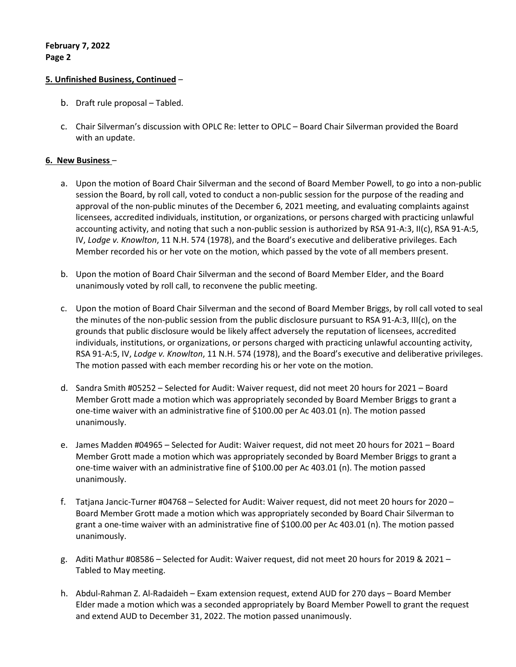# 5. Unfinished Business, Continued –

- b. Draft rule proposal Tabled.
- c. Chair Silverman's discussion with OPLC Re: letter to OPLC Board Chair Silverman provided the Board with an update.

### 6. New Business –

- a. Upon the motion of Board Chair Silverman and the second of Board Member Powell, to go into a non-public session the Board, by roll call, voted to conduct a non-public session for the purpose of the reading and approval of the non-public minutes of the December 6, 2021 meeting, and evaluating complaints against licensees, accredited individuals, institution, or organizations, or persons charged with practicing unlawful accounting activity, and noting that such a non-public session is authorized by RSA 91-A:3, II(c), RSA 91-A:5, IV, Lodge v. Knowlton, 11 N.H. 574 (1978), and the Board's executive and deliberative privileges. Each Member recorded his or her vote on the motion, which passed by the vote of all members present.
- b. Upon the motion of Board Chair Silverman and the second of Board Member Elder, and the Board unanimously voted by roll call, to reconvene the public meeting.
- c. Upon the motion of Board Chair Silverman and the second of Board Member Briggs, by roll call voted to seal the minutes of the non-public session from the public disclosure pursuant to RSA 91-A:3, III(c), on the grounds that public disclosure would be likely affect adversely the reputation of licensees, accredited individuals, institutions, or organizations, or persons charged with practicing unlawful accounting activity, RSA 91-A:5, IV, Lodge v. Knowlton, 11 N.H. 574 (1978), and the Board's executive and deliberative privileges. The motion passed with each member recording his or her vote on the motion.
- d. Sandra Smith #05252 Selected for Audit: Waiver request, did not meet 20 hours for 2021 Board Member Grott made a motion which was appropriately seconded by Board Member Briggs to grant a one-time waiver with an administrative fine of \$100.00 per Ac 403.01 (n). The motion passed unanimously.
- e. James Madden #04965 Selected for Audit: Waiver request, did not meet 20 hours for 2021 Board Member Grott made a motion which was appropriately seconded by Board Member Briggs to grant a one-time waiver with an administrative fine of \$100.00 per Ac 403.01 (n). The motion passed unanimously.
- f. Tatjana Jancic-Turner #04768 Selected for Audit: Waiver request, did not meet 20 hours for 2020 Board Member Grott made a motion which was appropriately seconded by Board Chair Silverman to grant a one-time waiver with an administrative fine of \$100.00 per Ac 403.01 (n). The motion passed unanimously.
- g. Aditi Mathur #08586 Selected for Audit: Waiver request, did not meet 20 hours for 2019 & 2021 Tabled to May meeting.
- h. Abdul-Rahman Z. Al-Radaideh Exam extension request, extend AUD for 270 days Board Member Elder made a motion which was a seconded appropriately by Board Member Powell to grant the request and extend AUD to December 31, 2022. The motion passed unanimously.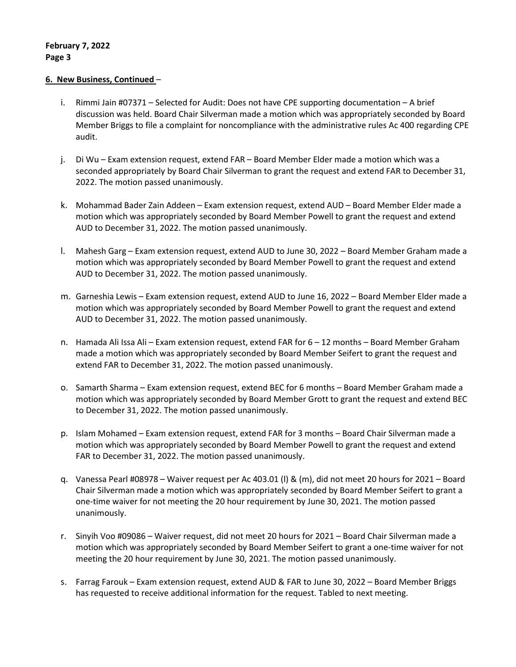### 6. New Business, Continued –

- i. Rimmi Jain #07371 Selected for Audit: Does not have CPE supporting documentation A brief discussion was held. Board Chair Silverman made a motion which was appropriately seconded by Board Member Briggs to file a complaint for noncompliance with the administrative rules Ac 400 regarding CPE audit.
- j. Di Wu Exam extension request, extend FAR Board Member Elder made a motion which was a seconded appropriately by Board Chair Silverman to grant the request and extend FAR to December 31, 2022. The motion passed unanimously.
- k. Mohammad Bader Zain Addeen Exam extension request, extend AUD Board Member Elder made a motion which was appropriately seconded by Board Member Powell to grant the request and extend AUD to December 31, 2022. The motion passed unanimously.
- l. Mahesh Garg Exam extension request, extend AUD to June 30, 2022 Board Member Graham made a motion which was appropriately seconded by Board Member Powell to grant the request and extend AUD to December 31, 2022. The motion passed unanimously.
- m. Garneshia Lewis Exam extension request, extend AUD to June 16, 2022 Board Member Elder made a motion which was appropriately seconded by Board Member Powell to grant the request and extend AUD to December 31, 2022. The motion passed unanimously.
- n. Hamada Ali Issa Ali Exam extension request, extend FAR for 6 12 months Board Member Graham made a motion which was appropriately seconded by Board Member Seifert to grant the request and extend FAR to December 31, 2022. The motion passed unanimously.
- o. Samarth Sharma Exam extension request, extend BEC for 6 months Board Member Graham made a motion which was appropriately seconded by Board Member Grott to grant the request and extend BEC to December 31, 2022. The motion passed unanimously.
- p. Islam Mohamed Exam extension request, extend FAR for 3 months Board Chair Silverman made a motion which was appropriately seconded by Board Member Powell to grant the request and extend FAR to December 31, 2022. The motion passed unanimously.
- q. Vanessa Pearl #08978 Waiver request per Ac 403.01 (l) & (m), did not meet 20 hours for 2021 Board Chair Silverman made a motion which was appropriately seconded by Board Member Seifert to grant a one-time waiver for not meeting the 20 hour requirement by June 30, 2021. The motion passed unanimously.
- r. Sinyih Voo #09086 Waiver request, did not meet 20 hours for 2021 Board Chair Silverman made a motion which was appropriately seconded by Board Member Seifert to grant a one-time waiver for not meeting the 20 hour requirement by June 30, 2021. The motion passed unanimously.
- s. Farrag Farouk Exam extension request, extend AUD & FAR to June 30, 2022 Board Member Briggs has requested to receive additional information for the request. Tabled to next meeting.